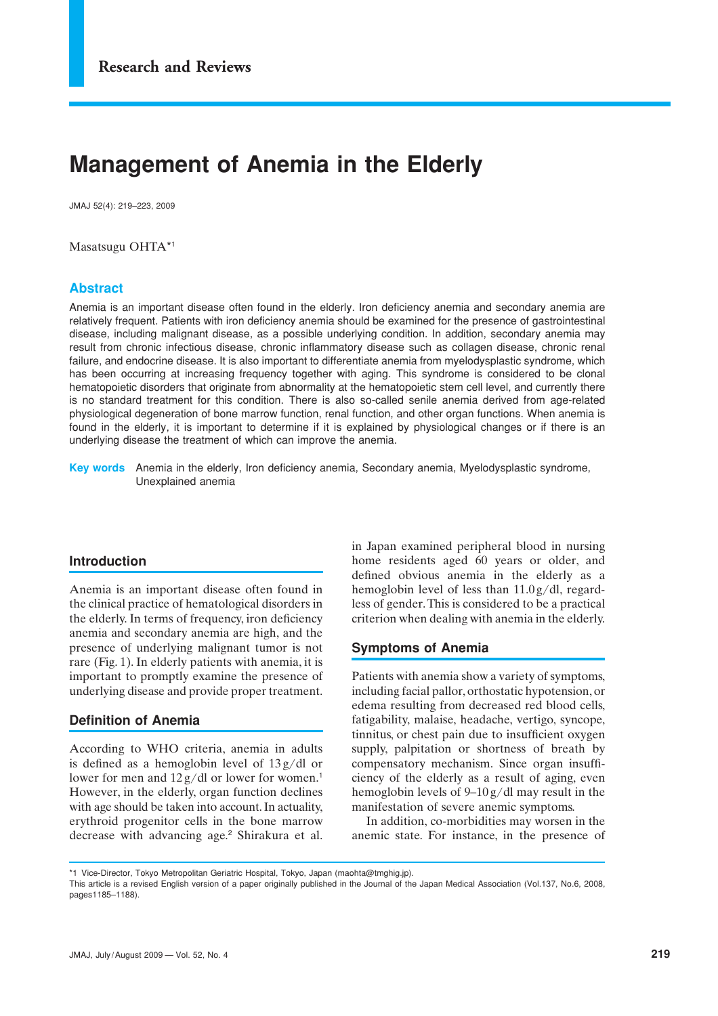# **Management of Anemia in the Elderly**

JMAJ 52(4): 219–223, 2009

Masatsugu OHTA\*1

## **Abstract**

Anemia is an important disease often found in the elderly. Iron deficiency anemia and secondary anemia are relatively frequent. Patients with iron deficiency anemia should be examined for the presence of gastrointestinal disease, including malignant disease, as a possible underlying condition. In addition, secondary anemia may result from chronic infectious disease, chronic inflammatory disease such as collagen disease, chronic renal failure, and endocrine disease. It is also important to differentiate anemia from myelodysplastic syndrome, which has been occurring at increasing frequency together with aging. This syndrome is considered to be clonal hematopoietic disorders that originate from abnormality at the hematopoietic stem cell level, and currently there is no standard treatment for this condition. There is also so-called senile anemia derived from age-related physiological degeneration of bone marrow function, renal function, and other organ functions. When anemia is found in the elderly, it is important to determine if it is explained by physiological changes or if there is an underlying disease the treatment of which can improve the anemia.

**Key words** Anemia in the elderly, Iron deficiency anemia, Secondary anemia, Myelodysplastic syndrome, Unexplained anemia

#### **Introduction**

Anemia is an important disease often found in the clinical practice of hematological disorders in the elderly. In terms of frequency, iron deficiency anemia and secondary anemia are high, and the presence of underlying malignant tumor is not rare (Fig. 1). In elderly patients with anemia, it is important to promptly examine the presence of underlying disease and provide proper treatment.

## **Definition of Anemia**

According to WHO criteria, anemia in adults is defined as a hemoglobin level of 13 g/dl or lower for men and  $12 g/dl$  or lower for women.<sup>1</sup> However, in the elderly, organ function declines with age should be taken into account. In actuality, erythroid progenitor cells in the bone marrow decrease with advancing age.<sup>2</sup> Shirakura et al. in Japan examined peripheral blood in nursing home residents aged 60 years or older, and defined obvious anemia in the elderly as a hemoglobin level of less than 11.0 g/dl, regardless of gender. This is considered to be a practical criterion when dealing with anemia in the elderly.

#### **Symptoms of Anemia**

Patients with anemia show a variety of symptoms, including facial pallor, orthostatic hypotension, or edema resulting from decreased red blood cells, fatigability, malaise, headache, vertigo, syncope, tinnitus, or chest pain due to insufficient oxygen supply, palpitation or shortness of breath by compensatory mechanism. Since organ insufficiency of the elderly as a result of aging, even hemoglobin levels of 9–10 g/dl may result in the manifestation of severe anemic symptoms.

In addition, co-morbidities may worsen in the anemic state. For instance, in the presence of

\*1 Vice-Director, Tokyo Metropolitan Geriatric Hospital, Tokyo, Japan (maohta@tmghig.jp).

This article is a revised English version of a paper originally published in the Journal of the Japan Medical Association (Vol.137, No.6, 2008, pages1185–1188).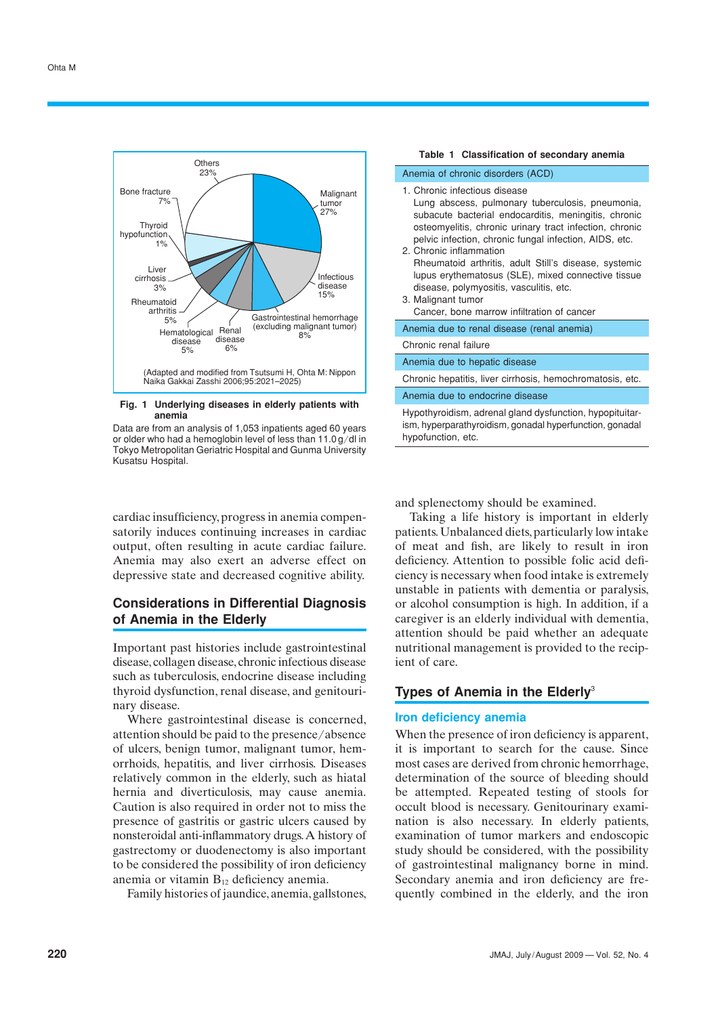

#### **Fig. 1 Underlying diseases in elderly patients with anemia**

Data are from an analysis of 1,053 inpatients aged 60 years or older who had a hemoglobin level of less than 11.0 g/dl in Tokyo Metropolitan Geriatric Hospital and Gunma University Kusatsu Hospital.

cardiac insufficiency, progress in anemia compensatorily induces continuing increases in cardiac output, often resulting in acute cardiac failure. Anemia may also exert an adverse effect on depressive state and decreased cognitive ability.

## **Considerations in Differential Diagnosis of Anemia in the Elderly**

Important past histories include gastrointestinal disease, collagen disease, chronic infectious disease such as tuberculosis, endocrine disease including thyroid dysfunction, renal disease, and genitourinary disease.

Where gastrointestinal disease is concerned, attention should be paid to the presence/absence of ulcers, benign tumor, malignant tumor, hemorrhoids, hepatitis, and liver cirrhosis. Diseases relatively common in the elderly, such as hiatal hernia and diverticulosis, may cause anemia. Caution is also required in order not to miss the presence of gastritis or gastric ulcers caused by nonsteroidal anti-inflammatory drugs. A history of gastrectomy or duodenectomy is also important to be considered the possibility of iron deficiency anemia or vitamin  $B_{12}$  deficiency anemia.

Family histories of jaundice, anemia, gallstones,

| Table 1 Classification of secondary anemia                                                                                                                                                                                                                                                                                                                                                                                                                                                                              |
|-------------------------------------------------------------------------------------------------------------------------------------------------------------------------------------------------------------------------------------------------------------------------------------------------------------------------------------------------------------------------------------------------------------------------------------------------------------------------------------------------------------------------|
| Anemia of chronic disorders (ACD)                                                                                                                                                                                                                                                                                                                                                                                                                                                                                       |
| 1. Chronic infectious disease<br>Lung abscess, pulmonary tuberculosis, pneumonia,<br>subacute bacterial endocarditis, meningitis, chronic<br>osteomyelitis, chronic urinary tract infection, chronic<br>pelvic infection, chronic fungal infection, AIDS, etc.<br>2. Chronic inflammation<br>Rheumatoid arthritis, adult Still's disease, systemic<br>lupus erythematosus (SLE), mixed connective tissue<br>disease, polymyositis, vasculitis, etc.<br>3. Malignant tumor<br>Cancer, bone marrow infiltration of cancer |
| Anemia due to renal disease (renal anemia)                                                                                                                                                                                                                                                                                                                                                                                                                                                                              |
| Chronic renal failure                                                                                                                                                                                                                                                                                                                                                                                                                                                                                                   |
| Anemia due to hepatic disease                                                                                                                                                                                                                                                                                                                                                                                                                                                                                           |
| Chronic hepatitis, liver cirrhosis, hemochromatosis, etc.                                                                                                                                                                                                                                                                                                                                                                                                                                                               |
| Anemia due to endocrine disease                                                                                                                                                                                                                                                                                                                                                                                                                                                                                         |
| Hypothyroidism, adrenal gland dysfunction, hypopituitar-<br>ism, hyperparathyroidism, gonadal hyperfunction, gonadal<br>hypofunction, etc.                                                                                                                                                                                                                                                                                                                                                                              |

and splenectomy should be examined.

Taking a life history is important in elderly patients. Unbalanced diets, particularly low intake of meat and fish, are likely to result in iron deficiency. Attention to possible folic acid deficiency is necessary when food intake is extremely unstable in patients with dementia or paralysis, or alcohol consumption is high. In addition, if a caregiver is an elderly individual with dementia, attention should be paid whether an adequate nutritional management is provided to the recipient of care.

## **Types of Anemia in the Elderly**<sup>3</sup>

## **Iron deficiency anemia**

When the presence of iron deficiency is apparent. it is important to search for the cause. Since most cases are derived from chronic hemorrhage, determination of the source of bleeding should be attempted. Repeated testing of stools for occult blood is necessary. Genitourinary examination is also necessary. In elderly patients, examination of tumor markers and endoscopic study should be considered, with the possibility of gastrointestinal malignancy borne in mind. Secondary anemia and iron deficiency are frequently combined in the elderly, and the iron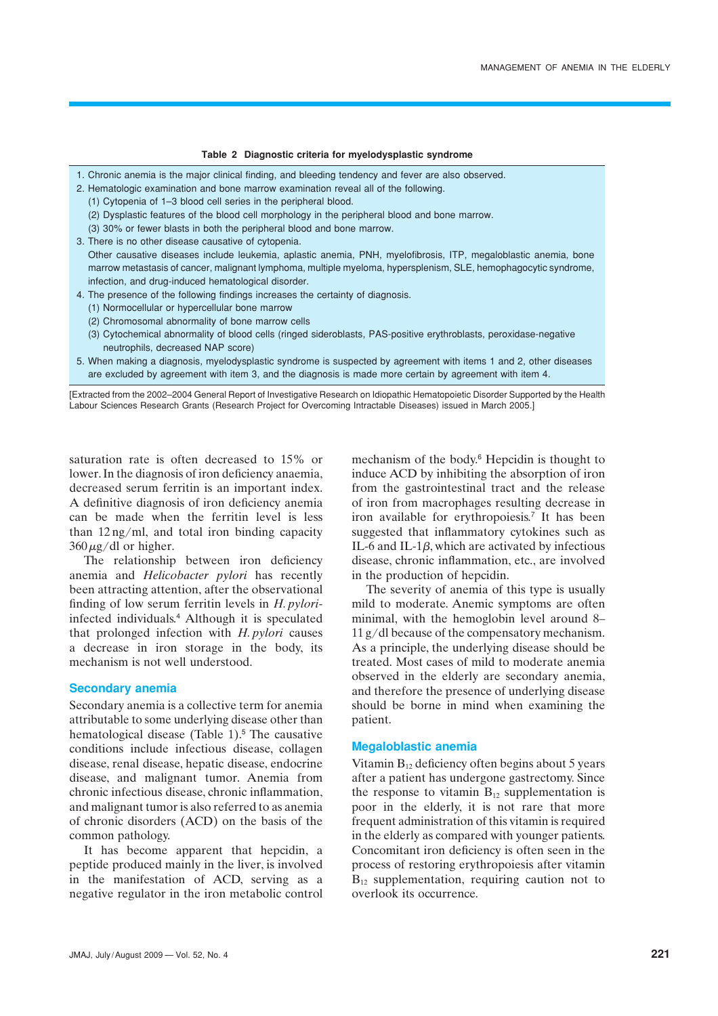#### **Table 2 Diagnostic criteria for myelodysplastic syndrome**

- 1. Chronic anemia is the major clinical finding, and bleeding tendency and fever are also observed.
- 2. Hematologic examination and bone marrow examination reveal all of the following.
	- (1) Cytopenia of 1–3 blood cell series in the peripheral blood.
	- (2) Dysplastic features of the blood cell morphology in the peripheral blood and bone marrow.
	- (3) 30% or fewer blasts in both the peripheral blood and bone marrow.
- 3. There is no other disease causative of cytopenia.
- Other causative diseases include leukemia, aplastic anemia, PNH, myelofibrosis, ITP, megaloblastic anemia, bone marrow metastasis of cancer, malignant lymphoma, multiple myeloma, hypersplenism, SLE, hemophagocytic syndrome, infection, and drug-induced hematological disorder.
- 4. The presence of the following findings increases the certainty of diagnosis.
	- (1) Normocellular or hypercellular bone marrow
	- (2) Chromosomal abnormality of bone marrow cells
	- (3) Cytochemical abnormality of blood cells (ringed sideroblasts, PAS-positive erythroblasts, peroxidase-negative neutrophils, decreased NAP score)
- 5. When making a diagnosis, myelodysplastic syndrome is suspected by agreement with items 1 and 2, other diseases are excluded by agreement with item 3, and the diagnosis is made more certain by agreement with item 4.

[Extracted from the 2002–2004 General Report of Investigative Research on Idiopathic Hematopoietic Disorder Supported by the Health Labour Sciences Research Grants (Research Project for Overcoming Intractable Diseases) issued in March 2005.]

saturation rate is often decreased to 15% or lower. In the diagnosis of iron deficiency anaemia, decreased serum ferritin is an important index. A definitive diagnosis of iron deficiency anemia can be made when the ferritin level is less than 12 ng/ml, and total iron binding capacity  $360 \mu g/dl$  or higher.

The relationship between iron deficiency anemia and *Helicobacter pylori* has recently been attracting attention, after the observational finding of low serum ferritin levels in *H. pylori*infected individuals.<sup>4</sup> Although it is speculated that prolonged infection with *H. pylori* causes a decrease in iron storage in the body, its mechanism is not well understood.

#### **Secondary anemia**

Secondary anemia is a collective term for anemia attributable to some underlying disease other than hematological disease (Table  $1$ ).<sup>5</sup> The causative conditions include infectious disease, collagen disease, renal disease, hepatic disease, endocrine disease, and malignant tumor. Anemia from chronic infectious disease, chronic inflammation, and malignant tumor is also referred to as anemia of chronic disorders (ACD) on the basis of the common pathology.

It has become apparent that hepcidin, a peptide produced mainly in the liver, is involved in the manifestation of ACD, serving as a negative regulator in the iron metabolic control mechanism of the body.<sup>6</sup> Hepcidin is thought to induce ACD by inhibiting the absorption of iron from the gastrointestinal tract and the release of iron from macrophages resulting decrease in iron available for erythropoiesis.<sup>7</sup> It has been suggested that inflammatory cytokines such as IL-6 and IL-1 $\beta$ , which are activated by infectious disease, chronic inflammation, etc., are involved in the production of hepcidin.

The severity of anemia of this type is usually mild to moderate. Anemic symptoms are often minimal, with the hemoglobin level around 8– 11 g/dl because of the compensatory mechanism. As a principle, the underlying disease should be treated. Most cases of mild to moderate anemia observed in the elderly are secondary anemia, and therefore the presence of underlying disease should be borne in mind when examining the patient.

#### **Megaloblastic anemia**

Vitamin  $B_{12}$  deficiency often begins about 5 years after a patient has undergone gastrectomy. Since the response to vitamin  $B_{12}$  supplementation is poor in the elderly, it is not rare that more frequent administration of this vitamin is required in the elderly as compared with younger patients. Concomitant iron deficiency is often seen in the process of restoring erythropoiesis after vitamin  $B_{12}$  supplementation, requiring caution not to overlook its occurrence.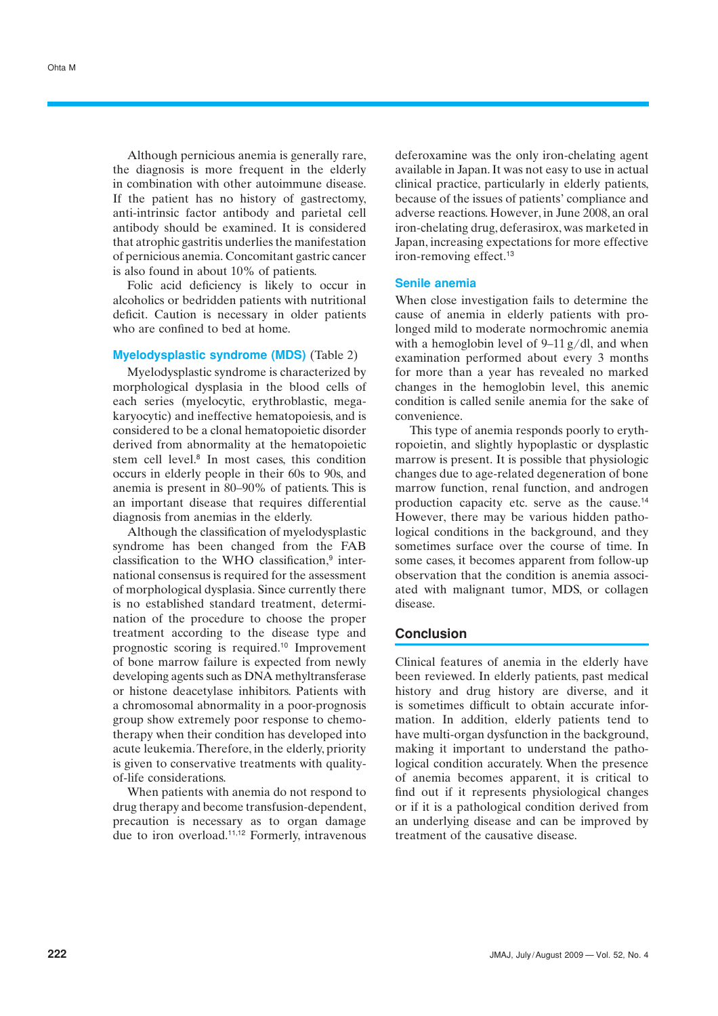Although pernicious anemia is generally rare, the diagnosis is more frequent in the elderly in combination with other autoimmune disease. If the patient has no history of gastrectomy, anti-intrinsic factor antibody and parietal cell antibody should be examined. It is considered that atrophic gastritis underlies the manifestation of pernicious anemia. Concomitant gastric cancer is also found in about 10% of patients.

Folic acid deficiency is likely to occur in alcoholics or bedridden patients with nutritional deficit. Caution is necessary in older patients who are confined to bed at home.

## **Myelodysplastic syndrome (MDS)** (Table 2)

Myelodysplastic syndrome is characterized by morphological dysplasia in the blood cells of each series (myelocytic, erythroblastic, megakaryocytic) and ineffective hematopoiesis, and is considered to be a clonal hematopoietic disorder derived from abnormality at the hematopoietic stem cell level.<sup>8</sup> In most cases, this condition occurs in elderly people in their 60s to 90s, and anemia is present in 80–90% of patients. This is an important disease that requires differential diagnosis from anemias in the elderly.

Although the classification of myelodysplastic syndrome has been changed from the FAB classification to the WHO classification,<sup>9</sup> international consensus is required for the assessment of morphological dysplasia. Since currently there is no established standard treatment, determination of the procedure to choose the proper treatment according to the disease type and prognostic scoring is required.<sup>10</sup> Improvement of bone marrow failure is expected from newly developing agents such as DNA methyltransferase or histone deacetylase inhibitors. Patients with a chromosomal abnormality in a poor-prognosis group show extremely poor response to chemotherapy when their condition has developed into acute leukemia. Therefore, in the elderly, priority is given to conservative treatments with qualityof-life considerations.

When patients with anemia do not respond to drug therapy and become transfusion-dependent, precaution is necessary as to organ damage due to iron overload.11,12 Formerly, intravenous deferoxamine was the only iron-chelating agent available in Japan. It was not easy to use in actual clinical practice, particularly in elderly patients, because of the issues of patients' compliance and adverse reactions. However, in June 2008, an oral iron-chelating drug, deferasirox, was marketed in Japan, increasing expectations for more effective iron-removing effect.<sup>13</sup>

#### **Senile anemia**

When close investigation fails to determine the cause of anemia in elderly patients with prolonged mild to moderate normochromic anemia with a hemoglobin level of  $9-11$  g/dl, and when examination performed about every 3 months for more than a year has revealed no marked changes in the hemoglobin level, this anemic condition is called senile anemia for the sake of convenience.

This type of anemia responds poorly to erythropoietin, and slightly hypoplastic or dysplastic marrow is present. It is possible that physiologic changes due to age-related degeneration of bone marrow function, renal function, and androgen production capacity etc. serve as the cause.<sup>14</sup> However, there may be various hidden pathological conditions in the background, and they sometimes surface over the course of time. In some cases, it becomes apparent from follow-up observation that the condition is anemia associated with malignant tumor, MDS, or collagen disease.

#### **Conclusion**

Clinical features of anemia in the elderly have been reviewed. In elderly patients, past medical history and drug history are diverse, and it is sometimes difficult to obtain accurate information. In addition, elderly patients tend to have multi-organ dysfunction in the background, making it important to understand the pathological condition accurately. When the presence of anemia becomes apparent, it is critical to find out if it represents physiological changes or if it is a pathological condition derived from an underlying disease and can be improved by treatment of the causative disease.